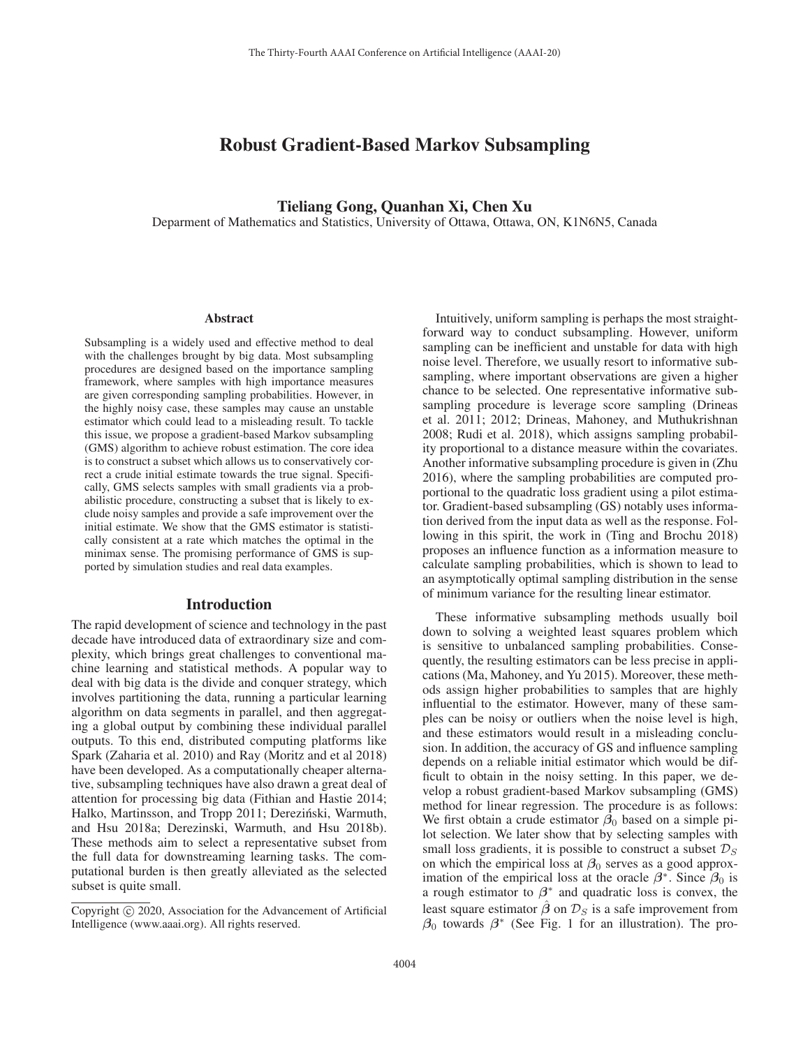# Robust Gradient-Based Markov Subsampling

### Tieliang Gong, Quanhan Xi, Chen Xu

Deparment of Mathematics and Statistics, University of Ottawa, Ottawa, ON, K1N6N5, Canada

#### **Abstract**

Subsampling is a widely used and effective method to deal with the challenges brought by big data. Most subsampling procedures are designed based on the importance sampling framework, where samples with high importance measures are given corresponding sampling probabilities. However, in the highly noisy case, these samples may cause an unstable estimator which could lead to a misleading result. To tackle this issue, we propose a gradient-based Markov subsampling (GMS) algorithm to achieve robust estimation. The core idea is to construct a subset which allows us to conservatively correct a crude initial estimate towards the true signal. Specifically, GMS selects samples with small gradients via a probabilistic procedure, constructing a subset that is likely to exclude noisy samples and provide a safe improvement over the initial estimate. We show that the GMS estimator is statistically consistent at a rate which matches the optimal in the minimax sense. The promising performance of GMS is supported by simulation studies and real data examples.

### Introduction

The rapid development of science and technology in the past decade have introduced data of extraordinary size and complexity, which brings great challenges to conventional machine learning and statistical methods. A popular way to deal with big data is the divide and conquer strategy, which involves partitioning the data, running a particular learning algorithm on data segments in parallel, and then aggregating a global output by combining these individual parallel outputs. To this end, distributed computing platforms like Spark (Zaharia et al. 2010) and Ray (Moritz and et al 2018) have been developed. As a computationally cheaper alternative, subsampling techniques have also drawn a great deal of attention for processing big data (Fithian and Hastie 2014; Halko, Martinsson, and Tropp 2011; Dereziński, Warmuth, and Hsu 2018a; Derezinski, Warmuth, and Hsu 2018b). These methods aim to select a representative subset from the full data for downstreaming learning tasks. The computational burden is then greatly alleviated as the selected subset is quite small.

Intuitively, uniform sampling is perhaps the most straightforward way to conduct subsampling. However, uniform sampling can be inefficient and unstable for data with high noise level. Therefore, we usually resort to informative subsampling, where important observations are given a higher chance to be selected. One representative informative subsampling procedure is leverage score sampling (Drineas et al. 2011; 2012; Drineas, Mahoney, and Muthukrishnan 2008; Rudi et al. 2018), which assigns sampling probability proportional to a distance measure within the covariates. Another informative subsampling procedure is given in (Zhu 2016), where the sampling probabilities are computed proportional to the quadratic loss gradient using a pilot estimator. Gradient-based subsampling (GS) notably uses information derived from the input data as well as the response. Following in this spirit, the work in (Ting and Brochu 2018) proposes an influence function as a information measure to calculate sampling probabilities, which is shown to lead to an asymptotically optimal sampling distribution in the sense of minimum variance for the resulting linear estimator.

These informative subsampling methods usually boil down to solving a weighted least squares problem which is sensitive to unbalanced sampling probabilities. Consequently, the resulting estimators can be less precise in applications (Ma, Mahoney, and Yu 2015). Moreover, these methods assign higher probabilities to samples that are highly influential to the estimator. However, many of these samples can be noisy or outliers when the noise level is high, and these estimators would result in a misleading conclusion. In addition, the accuracy of GS and influence sampling depends on a reliable initial estimator which would be difficult to obtain in the noisy setting. In this paper, we develop a robust gradient-based Markov subsampling (GMS) method for linear regression. The procedure is as follows: We first obtain a crude estimator  $\beta_0$  based on a simple pilot selection. We later show that by selecting samples with small loss gradients, it is possible to construct a subset  $\mathcal{D}_S$ on which the empirical loss at  $\beta_0$  serves as a good approximation of the empirical loss at the oracle  $\beta^*$ . Since  $\beta_0$  is a rough estimator to *β*<sup>∗</sup> and quadratic loss is convex, the least square estimator  $\hat{\beta}$  on  $\mathcal{D}_S$  is a safe improvement from *<sup>β</sup>*0 towards *<sup>β</sup>*<sup>∗</sup> (See Fig. 1 for an illustration). The pro-

Copyright  $\odot$  2020, Association for the Advancement of Artificial Intelligence (www.aaai.org). All rights reserved.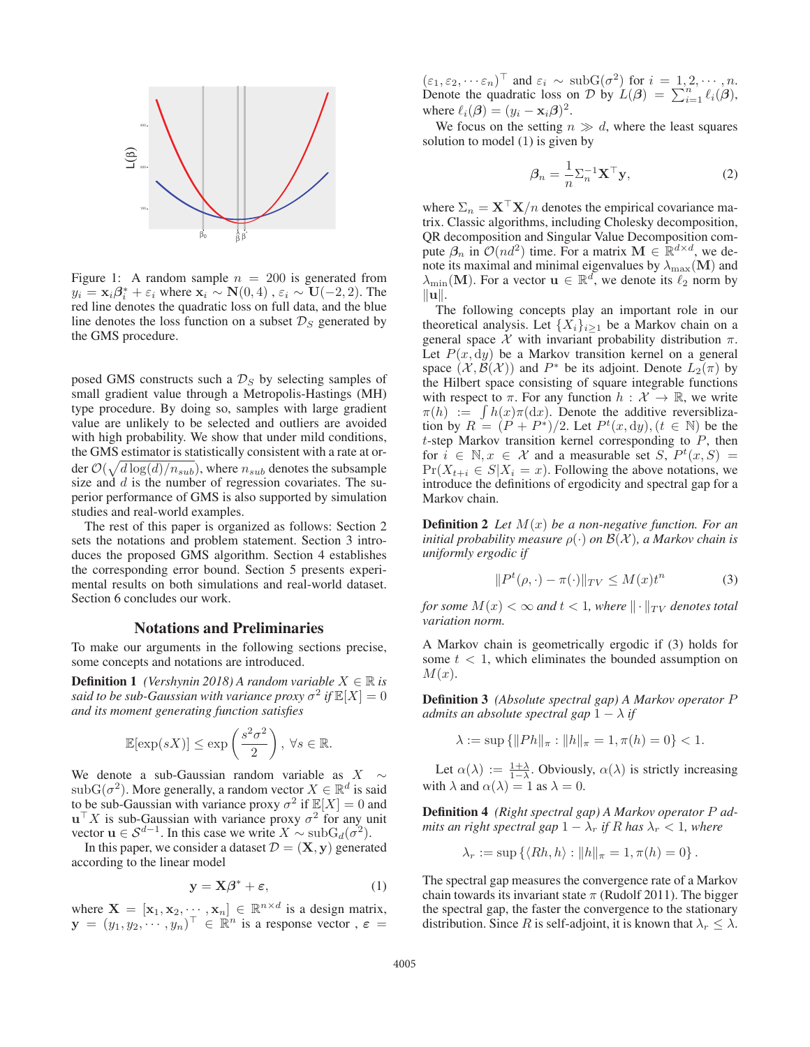

Figure 1: A random sample  $n = 200$  is generated from  $y_i = \mathbf{x}_i \beta_i^* + \varepsilon_i$  where  $\mathbf{x}_i \sim \mathbf{N}(0, 4)$ ,  $\varepsilon_i \sim \mathbf{U}(-2, 2)$ . The red line denotes the quadratic loss on full data and the blue red line denotes the quadratic loss on full data, and the blue line denotes the loss function on a subset  $\mathcal{D}_S$  generated by the GMS procedure.

posed GMS constructs such a  $\mathcal{D}_S$  by selecting samples of small gradient value through a Metropolis-Hastings (MH) type procedure. By doing so, samples with large gradient value are unlikely to be selected and outliers are avoided with high probability. We show that under mild conditions, the GMS estimator is statistically consistent with a rate at order  $\mathcal{O}(\sqrt{d \log(d)/n_{sub}})$ , where  $n_{sub}$  denotes the subsample size and  $d$  is the number of regression covariates. The superior performance of GMS is also supported by simulation studies and real-world examples.

The rest of this paper is organized as follows: Section 2 sets the notations and problem statement. Section 3 introduces the proposed GMS algorithm. Section 4 establishes the corresponding error bound. Section 5 presents experimental results on both simulations and real-world dataset. Section 6 concludes our work.

### Notations and Preliminaries

To make our arguments in the following sections precise, some concepts and notations are introduced.

**Definition 1** *(Vershynin 2018) A random variable*  $X \in \mathbb{R}$  *is said to be sub-Gaussian with variance proxy*  $\sigma^2$  *if*  $\mathbb{E}[X]=0$ *and its moment generating function satisfies*

$$
\mathbb{E}[\exp(sX)] \le \exp\left(\frac{s^2\sigma^2}{2}\right), \ \forall s \in \mathbb{R}.
$$

We denote a sub-Gaussian random variable as  $X \sim$  $\text{subG}(\sigma^2)$ . More generally, a random vector  $X \in \mathbb{R}^d$  is said to be sub-Gaussian with variance proxy  $\sigma^2$  if  $\mathbb{E}[X]=0$  and  $\mathbf{u}^\top X$  is sub-Gaussian with variance proxy  $\sigma^2$  for any unit vector **u** ∈  $S^{d-1}$ . In this case we write  $X \sim \text{subG}_d(\sigma^2)$ .

In this paper, we consider a dataset  $\mathcal{D} = (\mathbf{X}, \mathbf{y})$  generated according to the linear model

$$
y = X\beta^* + \varepsilon,\tag{1}
$$

where  $\mathbf{X} = [\mathbf{x}_1, \mathbf{x}_2, \cdots, \mathbf{x}_n] \in \mathbb{R}^{n \times d}$  is a design matrix,<br> $\mathbf{v} = (u_1, u_2, \cdots, u_n)^\top \in \mathbb{R}^n$  is a response vector  $\varepsilon =$  $\mathbf{y} = (y_1, y_2, \dots, y_n)^\top \in \mathbb{R}^n$  is a response vector,  $\varepsilon =$ 

 $(\varepsilon_1, \varepsilon_2, \dots \varepsilon_n)^\top$  and  $\varepsilon_i \sim \text{subG}(\sigma^2)$  for  $i = 1, 2, \dots, n$ . Denote the quadratic loss on D by  $L(\beta) = \sum_{i=1}^{n} \ell_i(\beta)$ ,<br>where  $\ell_i(\beta) = (n_i - \mathbf{x}_i \beta)^2$ where  $\ell_i(\boldsymbol{\beta})=(y_i - \mathbf{x}_i\boldsymbol{\beta})^2$ .

We focus on the setting  $n \gg d$ , where the least squares solution to model (1) is given by

$$
\beta_n = \frac{1}{n} \Sigma_n^{-1} \mathbf{X}^\top \mathbf{y},\tag{2}
$$

where  $\Sigma_n = \mathbf{X}^\top \mathbf{X}/n$  denotes the empirical covariance matrix. Classic algorithms, including Cholesky decomposition, QR decomposition and Singular Value Decomposition compute  $\beta_n$  in  $\mathcal{O}(nd^2)$  time. For a matrix  $\mathbf{M} \in \mathbb{R}^{d \times d}$ , we denote its maximal and minimal eigenvalues by  $\lambda_{\text{max}}(\mathbf{M})$  and  $\lambda_{\min}(\mathbf{M})$ . For a vector  $\mathbf{u} \in \mathbb{R}^d$ , we denote its  $\ell_2$  norm by  $\|\mathbf{u}\|$ .

The following concepts play an important role in our theoretical analysis. Let  $\{X_i\}_{i\geq 1}$  be a Markov chain on a general space  $X$  with invariant probability distribution  $\pi$ . Let  $P(x, dy)$  be a Markov transition kernel on a general space  $(\mathcal{X}, \mathcal{B}(\mathcal{X}))$  and  $P^*$  be its adjoint. Denote  $L_2(\pi)$  by the Hilbert space consisting of square integrable functions with respect to  $\pi$ . For any function  $h : \mathcal{X} \to \mathbb{R}$ , we write  $\pi(h) := \int h(x)\pi(\mathrm{d}x)$ . Denote the additive reversiblization by  $R = (P + P^*)/2$ . Let  $P^t(x, dy), (t \in \mathbb{N})$  be the  $t$ -step Markov transition kernel corresponding to  $P$ , then for  $i \in \mathbb{N}, x \in \mathcal{X}$  and a measurable set  $S, P^t(x, S) =$  $Pr(X_{t+i} \in S | X_i = x)$ . Following the above notations, we introduce the definitions of ergodicity and spectral gap for a Markov chain.

Definition 2 *Let* M(x) *be a non-negative function. For an initial probability measure*  $\rho(\cdot)$  *on*  $\mathcal{B}(\mathcal{X})$ *, a Markov chain is uniformly ergodic if*

$$
||P^t(\rho, \cdot) - \pi(\cdot)||_{TV} \le M(x)t^n \tag{3}
$$

*for some*  $M(x) < \infty$  *and*  $t < 1$ *, where*  $\|\cdot\|_{TV}$  *denotes total variation norm.*

A Markov chain is geometrically ergodic if (3) holds for some  $t < 1$ , which eliminates the bounded assumption on  $M(x)$ .

Definition 3 *(Absolute spectral gap) A Markov operator* P *admits an absolute spectral gap*  $1 - \lambda$  *if* 

$$
\lambda := \sup \{ ||Ph||_{\pi} : ||h||_{\pi} = 1, \pi(h) = 0 \} < 1.
$$

Let  $\alpha(\lambda) := \frac{1+\lambda}{1-\lambda}$ . Obviously,  $\alpha(\lambda)$  is strictly increasing with  $\lambda$  and  $\alpha(\lambda) = 1$  as  $\lambda = 0$ .

Definition 4 *(Right spectral gap) A Markov operator* P *admits an right spectral gap*  $1 - \lambda_r$  *if* R has  $\lambda_r < 1$ *, where* 

$$
\lambda_r := \sup \{ \langle Rh, h \rangle : ||h||_{\pi} = 1, \pi(h) = 0 \}.
$$

The spectral gap measures the convergence rate of a Markov chain towards its invariant state  $\pi$  (Rudolf 2011). The bigger the spectral gap, the faster the convergence to the stationary distribution. Since R is self-adjoint, it is known that  $\lambda_r \leq \lambda$ .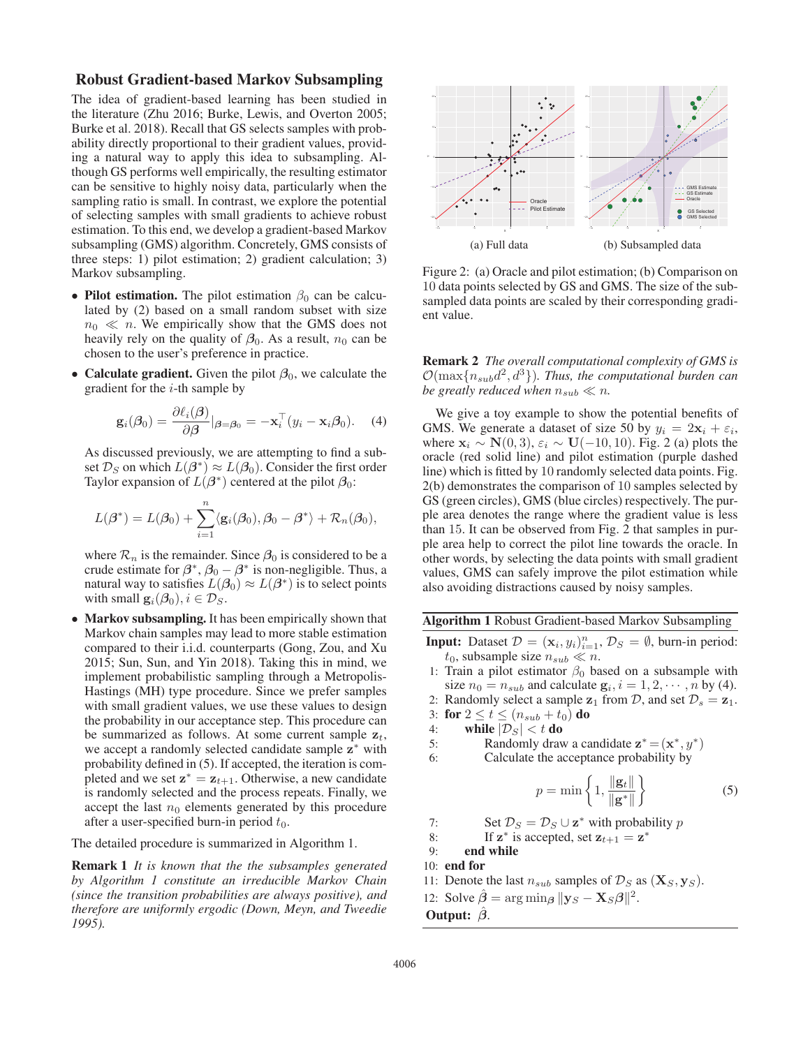## Robust Gradient-based Markov Subsampling

The idea of gradient-based learning has been studied in the literature (Zhu 2016; Burke, Lewis, and Overton 2005; Burke et al. 2018). Recall that GS selects samples with probability directly proportional to their gradient values, providing a natural way to apply this idea to subsampling. Although GS performs well empirically, the resulting estimator can be sensitive to highly noisy data, particularly when the sampling ratio is small. In contrast, we explore the potential of selecting samples with small gradients to achieve robust estimation. To this end, we develop a gradient-based Markov subsampling (GMS) algorithm. Concretely, GMS consists of three steps: 1) pilot estimation; 2) gradient calculation; 3) Markov subsampling.

- Pilot estimation. The pilot estimation  $\beta_0$  can be calculated by (2) based on a small random subset with size  $n_0 \ll n$ . We empirically show that the GMS does not heavily raly on the quality of  $\beta_2$ . As a result  $n_2$  can be heavily rely on the quality of  $\beta_0$ . As a result,  $n_0$  can be chosen to the user's preference in practice.
- Calculate gradient. Given the pilot  $\beta_0$ , we calculate the gradient for the  $i$ -th sample by

$$
\mathbf{g}_i(\boldsymbol{\beta}_0) = \frac{\partial \ell_i(\boldsymbol{\beta})}{\partial \boldsymbol{\beta}}|_{\boldsymbol{\beta} = \boldsymbol{\beta}_0} = -\mathbf{x}_i^\top (y_i - \mathbf{x}_i \boldsymbol{\beta}_0). \quad (4)
$$

As discussed previously, we are attempting to find a subset  $\mathcal{D}_S$  on which  $L(\beta^*) \approx L(\beta_0)$ . Consider the first order Taylor expansion of  $L(\beta^*)$  centered at the pilot  $\beta_0$ :

$$
L(\boldsymbol{\beta}^*) = L(\boldsymbol{\beta}_0) + \sum_{i=1}^n \langle \mathbf{g}_i(\boldsymbol{\beta}_0), \boldsymbol{\beta}_0 - \boldsymbol{\beta}^* \rangle + \mathcal{R}_n(\boldsymbol{\beta}_0),
$$

where  $\mathcal{R}_n$  is the remainder. Since  $\beta_0$  is considered to be a crude estimate for  $\beta^*$ ,  $\beta_0 - \beta^*$  is non-negligible. Thus, a natural way to satisfies  $L(\beta_0) \approx L(\beta^*)$  is to select points with small  $\mathbf{g}_i(\boldsymbol{\beta}_0), i \in \mathcal{D}_S$ .

• Markov subsampling. It has been empirically shown that Markov chain samples may lead to more stable estimation compared to their i.i.d. counterparts (Gong, Zou, and Xu 2015; Sun, Sun, and Yin 2018). Taking this in mind, we implement probabilistic sampling through a Metropolis-Hastings (MH) type procedure. Since we prefer samples with small gradient values, we use these values to design the probability in our acceptance step. This procedure can be summarized as follows. At some current sample  $z_t$ , we accept a randomly selected candidate sample **<sup>z</sup>**<sup>∗</sup> with probability defined in (5). If accepted, the iteration is completed and we set  $z^* = z_{t+1}$ . Otherwise, a new candidate is randomly selected and the process repeats. Finally, we accept the last  $n_0$  elements generated by this procedure after a user-specified burn-in period  $t_0$ .

The detailed procedure is summarized in Algorithm 1.

Remark 1 *It is known that the the subsamples generated by Algorithm 1 constitute an irreducible Markov Chain (since the transition probabilities are always positive), and therefore are uniformly ergodic (Down, Meyn, and Tweedie 1995).*



Figure 2: (a) Oracle and pilot estimation; (b) Comparison on 10 data points selected by GS and GMS. The size of the subsampled data points are scaled by their corresponding gradient value.

Remark 2 *The overall computational complexity of GMS is*  $\mathcal{O}(\max\{n_{sub}d^2,d^3\})$ *. Thus, the computational burden can be greatly reduced when*  $n_{sub} \ll n$ .

We give a toy example to show the potential benefits of GMS. We generate a dataset of size 50 by  $y_i = 2x_i + \varepsilon_i$ , where  $\mathbf{x}_i \sim \mathbf{N}(0, 3)$ ,  $\varepsilon_i \sim \mathbf{U}(-10, 10)$ . Fig. 2 (a) plots the oracle (red solid line) and pilot estimation (purple dashed line) which is fitted by 10 randomly selected data points. Fig. 2(b) demonstrates the comparison of 10 samples selected by GS (green circles), GMS (blue circles) respectively. The purple area denotes the range where the gradient value is less than 15. It can be observed from Fig. 2 that samples in purple area help to correct the pilot line towards the oracle. In other words, by selecting the data points with small gradient values, GMS can safely improve the pilot estimation while also avoiding distractions caused by noisy samples.

Algorithm 1 Robust Gradient-based Markov Subsampling

- **Input:** Dataset  $\mathcal{D} = (\mathbf{x}_i, y_i)_{i=1}^n$ ,  $\mathcal{D}_S = \emptyset$ , burn-in period:<br>
to subsample size  $n_{s+1} \ll n$  $t_0$ , subsample size  $n_{sub} \ll n$ .<br>Train a pilot estimator  $\beta_0$  be
- 1: Train a pilot estimator  $\beta_0$  based on a subsample with size  $n_0 = n_{sub}$  and calculate  $\mathbf{g}_i$ ,  $i = 1, 2, \cdots, n$  by (4).
- 2: Randomly select a sample  $z_1$  from  $D$ , and set  $D_s = z_1$ .
- 3: for  $2 \le t \le (n_{sub} + t_0)$  do<br>4: while  $|\mathcal{D}_S| < t$  do
- while  $|\mathcal{D}_S| < t$  do
- 5: Randomly draw a candidate  $z^* = (x^*, y^*)$

6: Calculate the acceptance probability by

$$
p = \min\left\{1, \frac{\|\mathbf{g}_t\|}{\|\mathbf{g}^*\|}\right\} \tag{5}
$$

7: Set  $\mathcal{D}_S = \mathcal{D}_S \cup \mathbf{z}^*$  with probability p<br>8: If  $\mathbf{z}^*$  is accepted, set  $\mathbf{z}_{t+1} = \mathbf{z}^*$ 

- 8: If  $z^*$  is accepted, set  $z_{t+1} = z^*$ <br>9: **end while**
- end while
- $10:$  end for
- 11: Denote the last  $n_{sub}$  samples of  $\mathcal{D}_S$  as  $(\mathbf{X}_S, \mathbf{y}_S)$ .
- 12: Solve  $\hat{\boldsymbol{\beta}} = \arg \min_{\boldsymbol{\beta}} ||\mathbf{y}_S \mathbf{X}_S \boldsymbol{\beta}||^2$ .

```
Output: βˆ.
```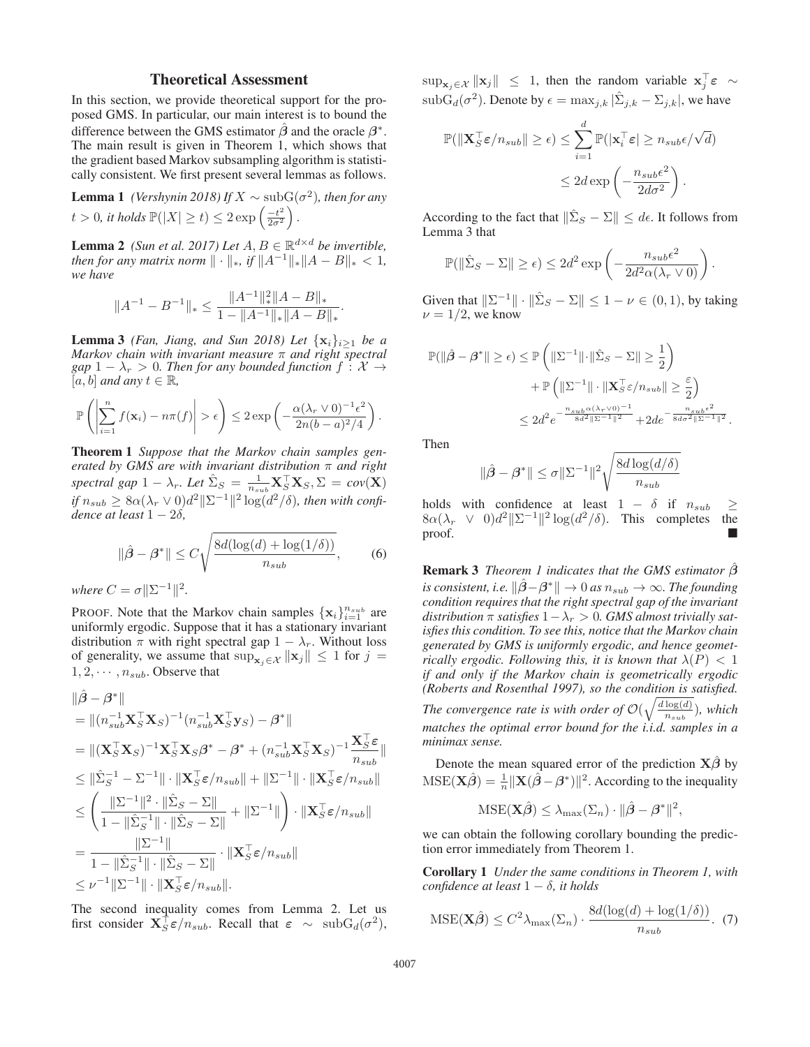### Theoretical Assessment

In this section, we provide theoretical support for the proposed GMS. In particular, our main interest is to bound the difference between the GMS estimator  $\hat{\beta}$  and the oracle  $\beta^*$ . The main result is given in Theorem 1, which shows that the gradient based Markov subsampling algorithm is statistically consistent. We first present several lemmas as follows.

**Lemma 1** *(Vershynin 2018) If*  $X \sim \text{subG}(\sigma^2)$ *, then for any*  $t > 0$ , *it holds*  $\mathbb{P}(|X| \ge t) \le 2 \exp\left(\frac{-t^2}{2\sigma^2}\right)$ .

**Lemma 2** *(Sun et al. 2017) Let*  $A, B \in \mathbb{R}^{d \times d}$  *be invertible, then for any matrix norm*  $\|\cdot\|_*$ *, if*  $\|A^{-1}\|_*\|A - B\|_* < 1$ *, we have*

$$
||A^{-1}-B^{-1}||_*\leq \frac{||A^{-1}||_*^2||A-B||_*}{1-\|A^{-1}||_*||A-B||_*}
$$

.

**Lemma 3** *(Fan, Jiang, and Sun 2018) Let*  $\{x_i\}_{i\geq 1}$  *be a Markov chain with invariant measure* π *and right spectral gap*  $1 - \lambda_r > 0$ *. Then for any bounded function*  $f: \mathcal{X} \rightarrow$  $[a, b]$  *and any*  $t \in \mathbb{R}$ *,* 

$$
\mathbb{P}\left(\left|\sum_{i=1}^n f(\mathbf{x}_i)-n\pi(f)\right|>\epsilon\right)\leq 2\exp\left(-\frac{\alpha(\lambda_r\vee 0)^{-1}\epsilon^2}{2n(b-a)^2/4}\right).
$$

Theorem 1 *Suppose that the Markov chain samples generated by GMS are with invariant distribution* π *and right*  $\text{spectral gap 1} - \lambda_r$ . Let  $\hat{\Sigma}_S = \frac{1}{n_{sub}} \mathbf{X}_S^\top \mathbf{X}_S, \Sigma = \text{cov}(\mathbf{X})$ <br> *if*  $n_{sub} \geq 8\alpha(\lambda_r \vee 0)d^2\|\Sigma^{-1}\|^2 \log(d^2/\delta)$ , then with confi*dence at least* 1 − 2δ*,*

$$
\|\hat{\beta} - \beta^*\| \le C\sqrt{\frac{8d(\log(d) + \log(1/\delta))}{n_{sub}}},\tag{6}
$$

*where*  $C = \sigma \|\Sigma^{-1}\|^2$ .

PROOF. Note that the Markov chain samples  $\{x_i\}_{i=1}^{n_{sub}}$  are uniformly ergodic. Suppose that it has a stationary invariant uniformly ergodic. Suppose that it has a stationary invariant distribution  $\pi$  with right spectral gap  $1 - \lambda_r$ . Without loss of generality, we assume that  $\sup_{\mathbf{x}_i \in \mathcal{X}} \|\mathbf{x}_j\| \leq 1$  for  $j =$  $1, 2, \cdots, n_{sub}$ . Observe that

$$
\|\hat{\beta} - \beta^*\|
$$
\n
$$
= \| (n_{sub}^{-1} \mathbf{X}_S^{\top} \mathbf{X}_S)^{-1} (n_{sub}^{-1} \mathbf{X}_S^{\top} \mathbf{y}_S) - \beta^* \|
$$
\n
$$
= \| (\mathbf{X}_S^{\top} \mathbf{X}_S)^{-1} \mathbf{X}_S^{\top} \mathbf{X}_S \beta^* - \beta^* + (n_{sub}^{-1} \mathbf{X}_S^{\top} \mathbf{X}_S)^{-1} \frac{\mathbf{X}_S^{\top} \varepsilon}{n_{sub}} \|
$$
\n
$$
\leq \|\hat{\Sigma}_S^{-1} - \Sigma^{-1} \| \cdot \| \mathbf{X}_S^{\top} \varepsilon / n_{sub} \| + \| \Sigma^{-1} \| \cdot \| \mathbf{X}_S^{\top} \varepsilon / n_{sub} \|
$$
\n
$$
\leq \left( \frac{\|\Sigma^{-1}\|^2 \cdot \|\hat{\Sigma}_S - \Sigma\|}{1 - \|\hat{\Sigma}_S^{-1}\| \cdot \|\hat{\Sigma}_S - \Sigma\|} + \| \Sigma^{-1} \| \right) \cdot \| \mathbf{X}_S^{\top} \varepsilon / n_{sub} \|
$$
\n
$$
= \frac{\|\Sigma^{-1}\|}{1 - \|\hat{\Sigma}_S^{-1}\| \cdot \|\hat{\Sigma}_S - \Sigma\|} \cdot \| \mathbf{X}_S^{\top} \varepsilon / n_{sub} \|
$$
\n
$$
\leq \nu^{-1} \|\Sigma^{-1}\| \cdot \|\mathbf{X}_S^{\top} \varepsilon / n_{sub} \|.
$$

The second inequality comes from Lemma 2. Let us first consider  $\mathbf{X}_{S}^{\dagger} \boldsymbol{\varepsilon}/n_{sub}$ . Recall that  $\boldsymbol{\varepsilon} \sim \text{subG}_{d}(\sigma^2)$ ,

 $\sup_{\mathbf{x}_j \in \mathcal{X}} \|\mathbf{x}_j\| \leq 1$ , then the random variable  $\mathbf{x}_j^{\dagger} \varepsilon \sim$  $\text{subG}_d(\sigma^2)$ . Denote by  $\epsilon = \max_{j,k} |\tilde{\Sigma}_{j,k} - \Sigma_{j,k}|$ , we have

$$
\mathbb{P}(\|\mathbf{X}_{S}^{\top}\boldsymbol{\varepsilon}/n_{sub}\| \geq \epsilon) \leq \sum_{i=1}^{d} \mathbb{P}(|\mathbf{x}_{i}^{\top}\boldsymbol{\varepsilon}| \geq n_{sub}\epsilon/\sqrt{d})
$$

$$
\leq 2d \exp\left(-\frac{n_{sub}\epsilon^{2}}{2d\sigma^{2}}\right).
$$

According to the fact that  $\|\hat{\Sigma}_S - \Sigma\| \leq d\epsilon$ . It follows from Lemma 3 that

$$
\mathbb{P}(\|\hat{\Sigma}_S - \Sigma\| \ge \epsilon) \le 2d^2 \exp\left(-\frac{n_{sub}\epsilon^2}{2d^2\alpha(\lambda_r \vee 0)}\right).
$$

Given that  $\|\Sigma^{-1}\| \cdot \|\hat{\Sigma}_S - \Sigma\| \leq 1 - \nu \in (0, 1)$ , by taking  $\nu = 1/2$ , we know

$$
\begin{aligned} \mathbb{P}(\|\hat{\beta}-\beta^*\| \geq \epsilon) & \leq \mathbb{P}\left(\|\Sigma^{-1}\|\cdot\|\hat{\Sigma}_S - \Sigma\| \geq \frac{1}{2}\right) \\ & + \mathbb{P}\left(\|\Sigma^{-1}\|\cdot\|\mathbf{X}_S^\top\varepsilon/n_{sub}\| \geq \frac{\varepsilon}{2}\right) \\ & \leq 2d^2e^{-\frac{n_{sub}\alpha(\lambda_Y\vee 0)^{-1}}{8d^2\|\Sigma^{-1}\|^2}} + 2de^{-\frac{n_{sub}\epsilon^2}{8d\sigma^2\|\Sigma^{-1}\|^2}}. \end{aligned}
$$

Then

$$
\|\hat{\beta} - \beta^*\| \le \sigma \|\Sigma^{-1}\|^2 \sqrt{\frac{8d \log(d/\delta)}{n_{sub}}}
$$

holds with confidence at least  $1 - \delta$  if  $n_{sub} \ge$  $8\alpha(\lambda_r \vee 0)d^2\|\Sigma^{-1}\|^2\log(d^2/\delta)$ . This completes the proof. proof.

Remark 3 *Theorem 1 indicates that the GMS estimator β*ˆ *is consistent, i.e.*  $\|\hat{\beta} - \beta^*\| \to 0$  *as*  $n_{sub} \to \infty$ *. The founding condition requires that the right spectral gap of the invariant distribution*  $\pi$  *satisfies*  $1 - \lambda_r > 0$ *. GMS almost trivially satisfies this condition. To see this, notice that the Markov chain generated by GMS is uniformly ergodic, and hence geometrically ergodic. Following this, it is known that*  $\lambda(P) < 1$ *if and only if the Markov chain is geometrically ergodic (Roberts and Rosenthal 1997), so the condition is satisfied. The convergence rate is with order of*  $\mathcal{O}(\sqrt{\frac{d \log(d)}{n_{sub}}})$ *, which matches the optimal error bound for the i.i.d. samples in a minimax sense.*

Denote the mean squared error of the prediction  $X\hat{\beta}$  by  $MSE(\mathbf{X}\hat{\boldsymbol{\beta}}) = \frac{1}{n} ||\mathbf{X}(\hat{\boldsymbol{\beta}} - \boldsymbol{\beta}^*)||^2$ . According to the inequality

$$
\mathrm{MSE}(\mathbf{X}\hat{\boldsymbol{\beta}}) \leq \lambda_{\max}(\Sigma_n) \cdot \|\hat{\boldsymbol{\beta}} - \boldsymbol{\beta}^*\|^2,
$$

we can obtain the following corollary bounding the prediction error immediately from Theorem 1.

Corollary 1 *Under the same conditions in Theorem 1, with confidence at least*  $1 - \delta$ *, it holds* 

$$
\text{MSE}(\mathbf{X}\hat{\boldsymbol{\beta}}) \le C^2 \lambda_{\text{max}}(\Sigma_n) \cdot \frac{8d(\log(d) + \log(1/\delta))}{n_{sub}}. (7)
$$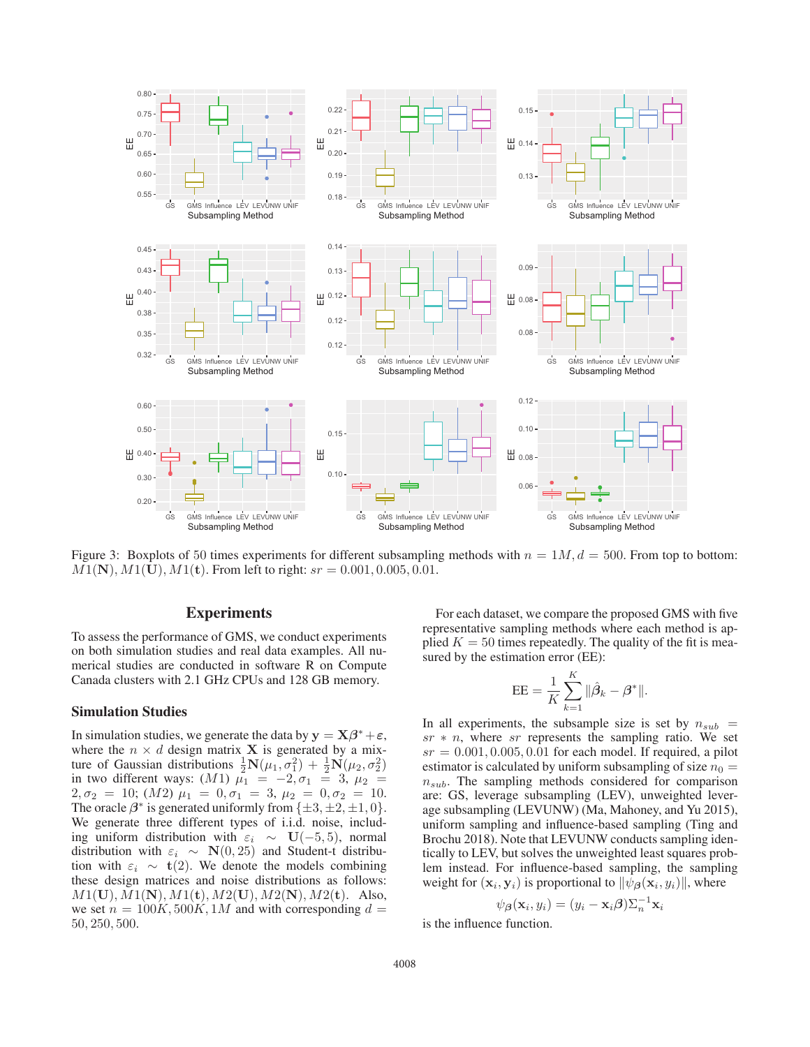

Figure 3: Boxplots of 50 times experiments for different subsampling methods with  $n = 1M$ ,  $d = 500$ . From top to bottom:  $M1(N), M1(U), M1(t)$ . From left to right:  $sr = 0.001, 0.005, 0.01$ .

# **Experiments**

To assess the performance of GMS, we conduct experiments on both simulation studies and real data examples. All numerical studies are conducted in software R on Compute Canada clusters with 2.1 GHz CPUs and 128 GB memory.

### Simulation Studies

In simulation studies, we generate the data by  $y = X\beta^* + \varepsilon$ , where the  $n \times d$  design matrix **X** is generated by a mixture of Gaussian distributions  $\frac{1}{2}N(\mu_1, \sigma_1^2) + \frac{1}{2}N(\mu_2, \sigma_2^2)$ <br>in two different ways:  $(M1)$   $\mu_1 = -2$ ,  $\sigma_1 = 3$ ,  $\mu_2 =$ in two different ways:  $(M1)$   $\mu_1 = -2$ ,  $\sigma_1 = 3$ ,  $\mu_2 = 2$ <br>  $\sigma_3 = 10$ ;  $(M2)$   $\mu_1 = 0$   $\sigma_2 = 3$ ,  $\mu_2 = 0$   $\sigma_3 = 10$  $2, \sigma_2 = 10$ ;  $(M2) \mu_1 = 0, \sigma_1 = 3, \mu_2 = 0, \sigma_2 = 10.$ <br>The oracle  $3^*$  is generated uniformly from  $1+3+2+1$ , 0) The oracle  $\beta^*$  is generated uniformly from  $\{\pm 3, \pm 2, \pm 1, 0\}$ . We generate three different types of i.i.d. noise, including uniform distribution with  $\varepsilon_i \sim U(-5, 5)$ , normal distribution with  $\varepsilon_i \sim \mathbf{N}(0, 25)$  and Student-t distribution with  $\varepsilon_i \sim t(2)$ . We denote the models combining these design matrices and noise distributions as follows: <sup>M</sup>1(**U**), M1(**N**), M1(**t**), M2(**U**), M2(**N**), M2(**t**). Also, we set  $n = 100K, 500K, 1M$  and with corresponding  $d =$ 50, 250, 500.

For each dataset, we compare the proposed GMS with five representative sampling methods where each method is applied  $K = 50$  times repeatedly. The quality of the fit is measured by the estimation error (EE):

$$
EE = \frac{1}{K} \sum_{k=1}^{K} ||\hat{\beta}_k - \beta^*||.
$$

In all experiments, the subsample size is set by  $n_{sub}$  =  $sr * n$ , where sr represents the sampling ratio. We set  $sr = 0.001, 0.005, 0.01$  for each model. If required, a pilot estimator is calculated by uniform subsampling of size  $n_0 =$  $n_{sub}$ . The sampling methods considered for comparison are: GS, leverage subsampling (LEV), unweighted leverage subsampling (LEVUNW) (Ma, Mahoney, and Yu 2015), uniform sampling and influence-based sampling (Ting and Brochu 2018). Note that LEVUNW conducts sampling identically to LEV, but solves the unweighted least squares problem instead. For influence-based sampling, the sampling weight for  $(\mathbf{x}_i, \mathbf{y}_i)$  is proportional to  $\|\psi_{\mathcal{B}}(\mathbf{x}_i, y_i)\|$ , where

$$
\psi_{\beta}(\mathbf{x}_i, y_i) = (y_i - \mathbf{x}_i \beta) \Sigma_n^{-1} \mathbf{x}_i
$$

is the influence function.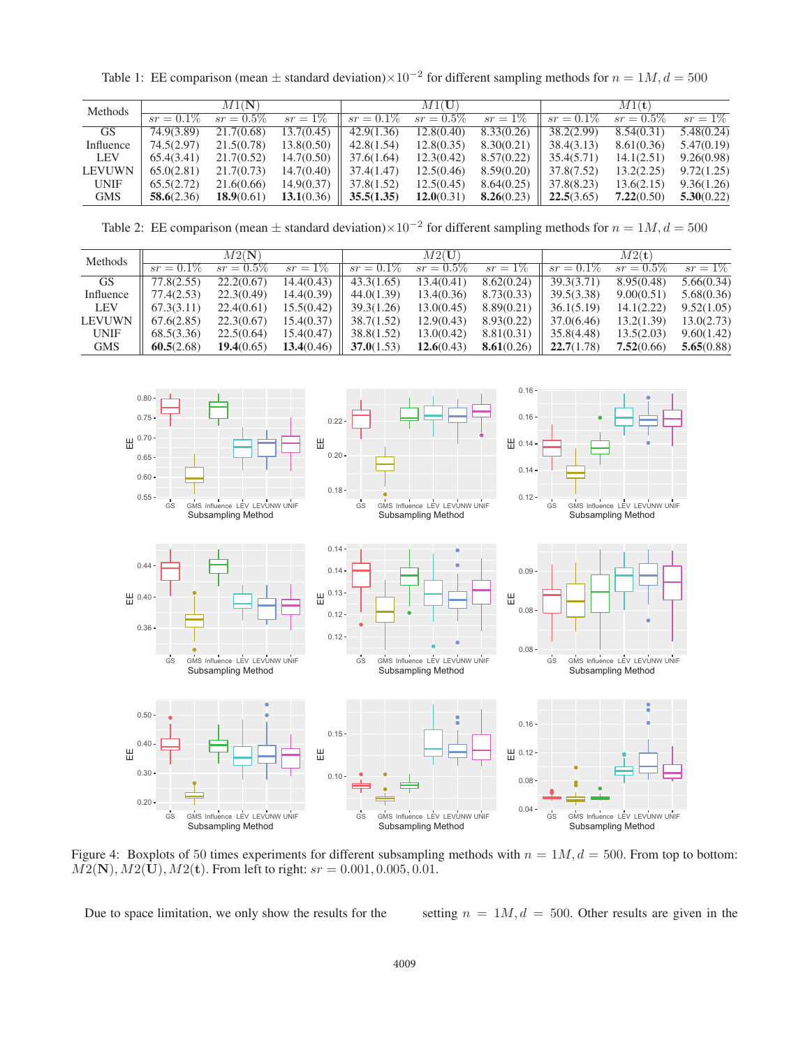Table 1: EE comparison (mean  $\pm$  standard deviation)×10<sup>-2</sup> for different sampling methods for  $n = 1M$ ,  $d = 500$ 

| Methods       | $M1({\bf N}$ |              |            | $M1({\bf U})$ |              |            | $M1({\bf t})$ |              |            |
|---------------|--------------|--------------|------------|---------------|--------------|------------|---------------|--------------|------------|
|               | $sr = 0.1\%$ | $sr = 0.5\%$ | $sr = 1\%$ | $sr = 0.1\%$  | $sr = 0.5\%$ | $sr = 1\%$ | $sr = 0.1\%$  | $sr = 0.5\%$ | $sr = 1\%$ |
| GS.           | 74.9(3.89)   | 21.7(0.68)   | 13.7(0.45) | 42.9(1.36)    | 12.8(0.40)   | 8.33(0.26) | 38.2(2.99)    | 8.54(0.31)   | 5.48(0.24) |
| Influence     | 74.5(2.97)   | 21.5(0.78)   | 13.8(0.50) | 42.8(1.54)    | 12.8(0.35)   | 8.30(0.21) | 38.4(3.13)    | 8.61(0.36)   | 5.47(0.19) |
| <b>LEV</b>    | 65.4(3.41)   | 21.7(0.52)   | 14.7(0.50) | 37.6(1.64)    | 12.3(0.42)   | 8.57(0.22) | 35.4(5.71)    | 14.1(2.51)   | 9.26(0.98) |
| <b>LEVUWN</b> | 65.0(2.81)   | 21.7(0.73)   | 14.7(0.40) | 37.4(1.47)    | 12.5(0.46)   | 8.59(0.20) | 37.8(7.52)    | 13.2(2.25)   | 9.72(1.25) |
| <b>UNIF</b>   | 65.5(2.72)   | 21.6(0.66)   | 14.9(0.37) | 37.8(1.52)    | 12.5(0.45)   | 8.64(0.25) | 37.8(8.23)    | 13.6(2.15)   | 9.36(1.26) |
| <b>GMS</b>    | 58.6(2.36)   | 18.9(0.61)   | 13.1(0.36) | 35.5(1.35)    | 12.0(0.31)   | 8.26(0.23) | 22.5(3.65)    | 7.22(0.50)   | 5.30(0.22) |

Table 2: EE comparison (mean  $\pm$  standard deviation)×10<sup>-2</sup> for different sampling methods for  $n = 1M$ ,  $d = 500$ 

| Methods       | M2(N)        |              |            | $M2({\bf U})$ |              |            | M2(t)        |              |            |
|---------------|--------------|--------------|------------|---------------|--------------|------------|--------------|--------------|------------|
|               | $sr = 0.1\%$ | $sr = 0.5\%$ | $sr = 1\%$ | $sr = 0.1\%$  | $sr = 0.5\%$ | $sr = 1\%$ | $sr = 0.1\%$ | $sr = 0.5\%$ | $sr = 1\%$ |
| <b>GS</b>     | 77.8(2.55)   | 22.2(0.67)   | 14.4(0.43) | 43.3(1.65)    | 13.4(0.41)   | 8.62(0.24) | 39.3(3.71)   | 8.95(0.48)   | 5.66(0.34) |
| Influence     | 77.4(2.53)   | 22.3(0.49)   | 14.4(0.39) | 44.0(1.39)    | 13.4(0.36)   | 8.73(0.33) | 39.5(3.38)   | 9.00(0.51)   | 5.68(0.36) |
| <b>LEV</b>    | 67.3(3.11)   | 22.4(0.61)   | 15.5(0.42) | 39.3(1.26)    | 13.0(0.45)   | 8.89(0.21) | 36.1(5.19)   | 14.1(2.22)   | 9.52(1.05) |
| <b>LEVUWN</b> | 67.6(2.85)   | 22.3(0.67)   | 15.4(0.37) | 38.7(1.52)    | 12.9(0.43)   | 8.93(0.22) | 37.0(6.46)   | 13.2(1.39)   | 13.0(2.73) |
| <b>UNIF</b>   | 68.5(3.36)   | 22.5(0.64)   | 15.4(0.47) | 38.8(1.52)    | 13.0(0.42)   | 8.81(0.31) | 35.8(4.48)   | 13.5(2.03)   | 9.60(1.42) |
| <b>GMS</b>    | 60.5(2.68)   | 19.4(0.65)   | 13.4(0.46) | 37.0(1.53)    | 12.6(0.43)   | 8.61(0.26) | 22.7(1.78)   | 7.52(0.66)   | 5.65(0.88) |



Figure 4: Boxplots of 50 times experiments for different subsampling methods with  $n = 1M$ ,  $d = 500$ . From top to bottom:  $M2(N), M2(U), M2(t)$ . From left to right:  $sr = 0.001, 0.005, 0.01$ .

Due to space limitation, we only show the results for the setting  $n = 1M$ ,  $d = 500$ . Other results are given in the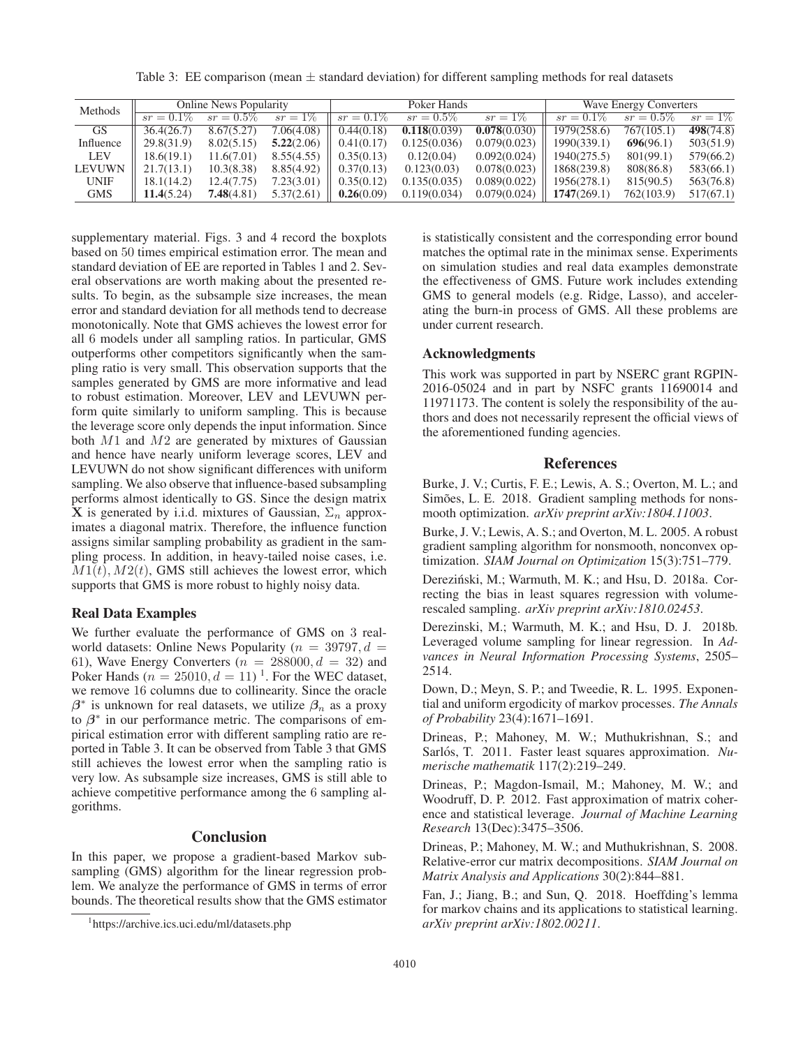Table 3: EE comparison (mean  $\pm$  standard deviation) for different sampling methods for real datasets

| Methods       | <b>Online News Popularity</b> |              |            |              | Poker Hands  |              | <b>Wave Energy Converters</b> |              |            |
|---------------|-------------------------------|--------------|------------|--------------|--------------|--------------|-------------------------------|--------------|------------|
|               | $sr = 0.1\%$                  | $sr = 0.5\%$ | $sr = 1\%$ | $sr = 0.1\%$ | $sr = 0.5\%$ | $sr = 1\%$   | $sr = 0.1\%$                  | $sr = 0.5\%$ | $sr = 1\%$ |
| <b>GS</b>     | 36.4(26.7)                    | 8.67(5.27)   | 7.06(4.08) | 0.44(0.18)   | 0.118(0.039) | 0.078(0.030) | 1979(258.6)                   | 767(105.1)   | 498(74.8)  |
| Influence     | 29.8(31.9)                    | 8.02(5.15)   | 5.22(2.06) | 0.41(0.17)   | 0.125(0.036) | 0.079(0.023) | 1990(339.1)                   | 696(96.1)    | 503(51.9)  |
| LEV           | 18.6(19.1)                    | 11.6(7.01)   | 8.55(4.55) | 0.35(0.13)   | 0.12(0.04)   | 0.092(0.024) | 1940(275.5)                   | 801(99.1)    | 579(66.2)  |
| <b>LEVUWN</b> | 21.7(13.1)                    | 10.3(8.38)   | 8.85(4.92) | 0.37(0.13)   | 0.123(0.03)  | 0.078(0.023) | 1868(239.8)                   | 808(86.8)    | 583(66.1)  |
| <b>UNIF</b>   | 18.1(14.2)                    | 12.4(7.75)   | 7.23(3.01) | 0.35(0.12)   | 0.135(0.035) | 0.089(0.022) | 1956(278.1)                   | 815(90.5)    | 563(76.8)  |
| <b>GMS</b>    | 11.4(5.24)                    | 7.48(4.81)   | 5.37(2.61) | 0.26(0.09)   | 0.119(0.034) | 0.079(0.024) | 1747(269.1)                   | 762(103.9)   | 517(67.1)  |

supplementary material. Figs. 3 and 4 record the boxplots based on 50 times empirical estimation error. The mean and standard deviation of EE are reported in Tables 1 and 2. Several observations are worth making about the presented results. To begin, as the subsample size increases, the mean error and standard deviation for all methods tend to decrease monotonically. Note that GMS achieves the lowest error for all 6 models under all sampling ratios. In particular, GMS outperforms other competitors significantly when the sampling ratio is very small. This observation supports that the samples generated by GMS are more informative and lead to robust estimation. Moreover, LEV and LEVUWN perform quite similarly to uniform sampling. This is because the leverage score only depends the input information. Since both  $M1$  and  $M2$  are generated by mixtures of Gaussian and hence have nearly uniform leverage scores, LEV and LEVUWN do not show significant differences with uniform sampling. We also observe that influence-based subsampling performs almost identically to GS. Since the design matrix **X** is generated by i.i.d. mixtures of Gaussian,  $\Sigma_n$  approximates a diagonal matrix. Therefore, the influence function assigns similar sampling probability as gradient in the sampling process. In addition, in heavy-tailed noise cases, i.e.  $M_1(t)$ ,  $M_2(t)$ , GMS still achieves the lowest error, which supports that GMS is more robust to highly noisy data.

### Real Data Examples

We further evaluate the performance of GMS on 3 realworld datasets: Online News Popularity ( $n = 39797, d =$ 61), Wave Energy Converters ( $n = 288000$ ,  $d = 32$ ) and Poker Hands ( $n = 25010, d = 11$ )<sup>1</sup>. For the WEC dataset, we remove 16 columns due to collinearity. Since the oracle  $\beta^*$  is unknown for real datasets, we utilize  $\beta_n$  as a proxy to  $\beta^*$  in our performance metric. The comparisons of empirical estimation error with different sampling ratio are reported in Table 3. It can be observed from Table 3 that GMS still achieves the lowest error when the sampling ratio is very low. As subsample size increases, GMS is still able to achieve competitive performance among the 6 sampling algorithms.

### **Conclusion**

In this paper, we propose a gradient-based Markov subsampling (GMS) algorithm for the linear regression problem. We analyze the performance of GMS in terms of error bounds. The theoretical results show that the GMS estimator

is statistically consistent and the corresponding error bound matches the optimal rate in the minimax sense. Experiments on simulation studies and real data examples demonstrate the effectiveness of GMS. Future work includes extending GMS to general models (e.g. Ridge, Lasso), and accelerating the burn-in process of GMS. All these problems are under current research.

### Acknowledgments

This work was supported in part by NSERC grant RGPIN-2016-05024 and in part by NSFC grants 11690014 and 11971173. The content is solely the responsibility of the authors and does not necessarily represent the official views of the aforementioned funding agencies.

#### References

Burke, J. V.; Curtis, F. E.; Lewis, A. S.; Overton, M. L.; and Simões, L. E. 2018. Gradient sampling methods for nonsmooth optimization. *arXiv preprint arXiv:1804.11003*.

Burke, J. V.; Lewis, A. S.; and Overton, M. L. 2005. A robust gradient sampling algorithm for nonsmooth, nonconvex optimization. *SIAM Journal on Optimization* 15(3):751–779.

Dereziński, M.; Warmuth, M. K.; and Hsu, D. 2018a. Correcting the bias in least squares regression with volumerescaled sampling. *arXiv preprint arXiv:1810.02453*.

Derezinski, M.; Warmuth, M. K.; and Hsu, D. J. 2018b. Leveraged volume sampling for linear regression. In *Advances in Neural Information Processing Systems*, 2505– 2514.

Down, D.; Meyn, S. P.; and Tweedie, R. L. 1995. Exponential and uniform ergodicity of markov processes. *The Annals of Probability* 23(4):1671–1691.

Drineas, P.; Mahoney, M. W.; Muthukrishnan, S.; and Sarlós, T. 2011. Faster least squares approximation. Nu*merische mathematik* 117(2):219–249.

Drineas, P.; Magdon-Ismail, M.; Mahoney, M. W.; and Woodruff, D. P. 2012. Fast approximation of matrix coherence and statistical leverage. *Journal of Machine Learning Research* 13(Dec):3475–3506.

Drineas, P.; Mahoney, M. W.; and Muthukrishnan, S. 2008. Relative-error cur matrix decompositions. *SIAM Journal on Matrix Analysis and Applications* 30(2):844–881.

Fan, J.; Jiang, B.; and Sun, Q. 2018. Hoeffding's lemma for markov chains and its applications to statistical learning. *arXiv preprint arXiv:1802.00211*.

<sup>1</sup> https://archive.ics.uci.edu/ml/datasets.php